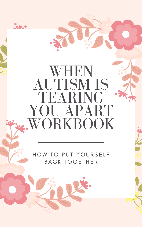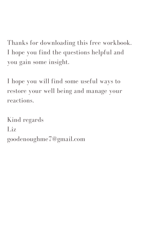Thanks for downloading this free workbook. I hope you find the questions helpful and you gain some insight.

I hope you will find some useful ways to restore your well being and manage your reactions.

Kind regards

# Liz goodenoughme7@gmail.com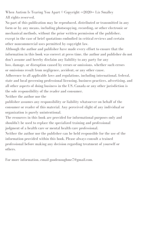When Autism Is Tearing You Apart © Copyright <<2020>> Liz Smalley All rights reserved.

No part of this publication may be reproduced, distributed or transmitted in any form or by any means, including photocopying, recording, or other electronic or mechanical methods, without the prior written permission of the publisher, except in the case of brief quotations embodied in critical reviews and certain other noncommercial uses permitted by copyright law.

Although the author and publisher have made every effort to ensure that the information in this book was correct at press time, the author and publisher do not don 't assume and hereby disclaim any liability to any party for any

loss, damage, or disruption caused by errors or omissions, whether such errors or omissions result from negligence, accident, or any other cause.

Adherence to all applicable laws and regulations, including international, federal, state and local governing professional licensing, business practices, advertising, and all other aspects of doing business in the US, Canada or any other jurisdiction is the sole responsibility of the reader and consumer.

Neither the author nor the

publisher assumes any responsibility or liability whatsoever on behalf of the consumer or reader of this material. Any perceived slight of any individual or organization is purely unintentional.

The resources in this book are provided for informational purposes only and

shouldn 't be used to replace the specialized training and professional judgment of a health care or mental health care professional. Neither the author nor the publisher can be held responsible for the use of the information provided within this book. Please always consult a trained professional before making any decision regarding treatment of yourself or others.

For more information, email goodenoughme7@gmail.com.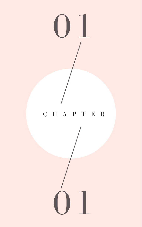C H A P T E R

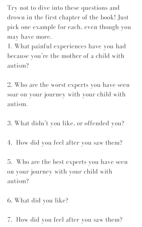Try not to dive into these questions and drown in the first chapter of the book! Just pick one example for each, even though you may have more.

1. What painful experiences have you had because you're the mother of a child with autism?

2. Who are the worst experts you have seen soar on your journey with your child with autism.

3. What didn 't you like, or offended you?

4. How did you feel after you saw them?

5. Who are the best experts you have seen on your journey with your child with autism?

6. What did you like?

7. How did you feel after you saw them?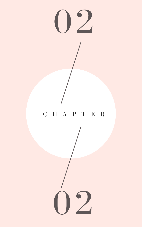

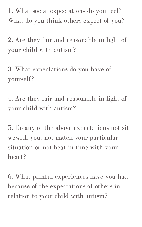1. What social expectations do you feel? What do you think others expect of you?

2. Are they fair and reasonable in light of your child with autism?

3. What expectations do you have of yourself?

4. Are they fair and reasonable in light of your child with autism?

5. Do any of the above expectations not sit wewith you, not match your particular situation or not beat in time with your heart?

6. What painful experiences have you had because of the expectations of others in relation to your child with autism?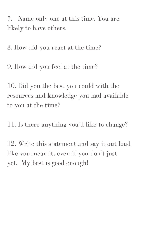7. Name only one at this time. You are likely to have others.

8. How did you react at the time?

9. How did you feel at the time?

10. Did you the best you could with the resources and knowledge you had available to you at the time?

11. Is there anything you 'd like to change?

12. Write this statement and say it out loud like you mean it, even if you don 't just yet. My best is good enough!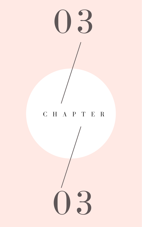

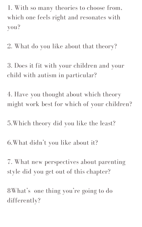1. With so many theories to choose from, which one feels right and resonates with you?

2. What do you like about that theory?

3. Does it fit with your children and your child with autism in particular?

4. Have you thought about which theory might work best for which of your children?

8What's one thing you're going to do differently?

5.Which theory did you like the least?

6.What didn 't you like about it?

7. What new perspectives about parenting style did you get out of this chapter?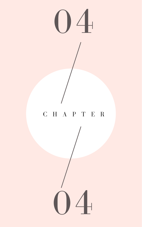

 $\bigcup$ 

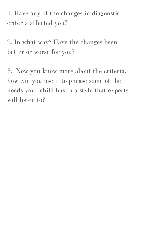1. Have any of the changes in diagnostic criteria affected you?

2. In what way? Have the changes been better or worse for you?

3. Now you know more about the criteria, how can you use it to phrase some of the needs your child has in a style that experts will listen to?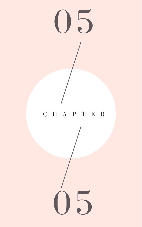

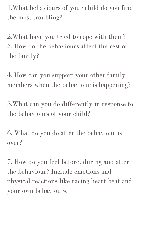1.What behaviours of your child do you find the most troubling?

2.What have you tried to cope with them? 3. How do the behaviours affect the rest of the family?

4. How can you support your other family members when the behaviour is happening?

5.What can you do differently in response to the behaviours of your child?

6. What do you do after the behaviour is over?

7. How do you feel before, during and after the behaviour? Include emotions and physical reactions like racing heart beat and your own behaviours.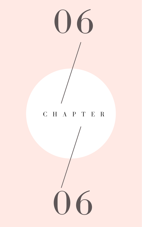

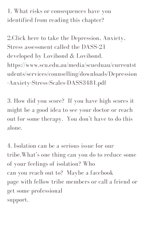1. What risks or consequences have you identified from reading this chapter?

2.Click here to take the Depression, Anxiety, Stress assessment called the DASS-21 developed by Lovibond & Lovibond. https://www.scu.edu.au/media/scueduau/currentst udents/services/counselling/downloads/Depression -Anxiety-Stress-Scales-DASS3481.pdf

3. How did you score? If you have high scores it might be a good idea to see your doctor or reach out for some therapy. You don 't have to do this

alone.

4. Isolation can be a serious issue for our tribe.What' s one thing can you do to reduce some of your feelings of isolation? Who can you reach out to? Maybe a facebook page with fellow tribe members or call a friend or get some professional support.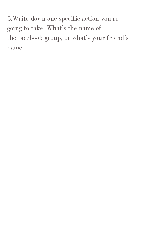5. Write down one specific action you're going to take. What' s the name of the facebook group, or what' s your friend' s name.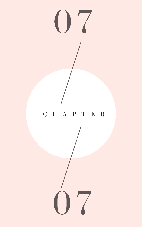

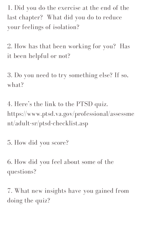1. Did you do the exercise at the end of the last chapter? What did you do to reduce your feelings of isolation?

3. Do you need to try something else? If so, what?

2. How has that been working for you? Has it been helpful or not?

4. Here ' s the link to the PTSD quiz. https://www.ptsd.va.gov/professional/assessme nt/adult-sr/ptsd-checklist.asp

5. How did you score?

6. How did you feel about some of the questions?

7. What new insights have you gained from doing the quiz?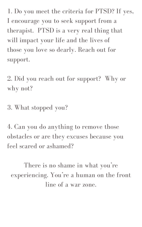1. Do you meet the criteria for PTSD? If yes, I encourage you to seek support from a therapist. PTSD is a very real thing that will impact your life and the lives of those you love so dearly. Reach out for support.

2. Did you reach out for support? Why or why not?

There is no shame in what you're experiencing. You're a human on the front line of a war zone.

3. What stopped you?

4. Can you do anything to remove those obstacles or are they excuses because you feel scared or ashamed?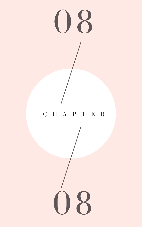

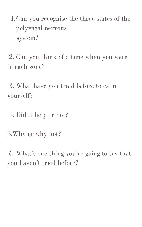1. Can you recognise the three states of the polyvagal nervous system?

2. Can you think of a time when you were in each zone?

3. What have you tried before to calm yourself?

4. Did it help or not?

5.Why or why not?

6. What' s one thing you ' re going to try that you haven 't tried before?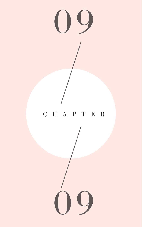

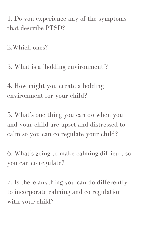1. Do you experience any of the symptoms that describe PTSD?

2.Which ones?

3. What is a 'holding environment'?

4. How might you create a holding environment for your child?

5. What' s one thing you can do when you

and your child are upset and distressed to calm so you can co-regulate your child?

6. What' s going to make calming difficult so you can co-regulate?

7. Is there anything you can do differently to incorporate calming and co-regulation with your child?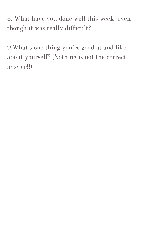8. What have you done well this week, even though it was really difficult?

9. What's one thing you're good at and like about yourself? (Nothing is not the correct answer!!)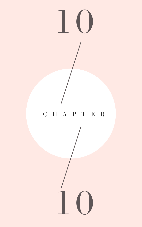## C H A P T E R

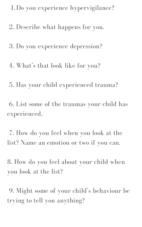1.Do you experience hypervigilance?

2. Describe what happens for you.

3. Do you experience depression?

4. What' s that look like for you?

5. Has your child experienced trauma?

6. List some of the traumas your child has experienced.

7. How do you feel when you look at the list? Name an emotion or two if you can.

8. How do you feel about your child when you look at the list?

9. Might some of your child' s behaviour be trying to tell you anything?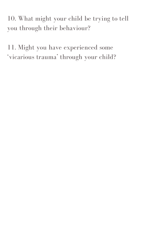10. What might your child be trying to tell you through their behaviour?

11. Might you have experienced some ' vicarious trauma ' through your child?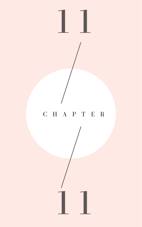## C H A P T E R

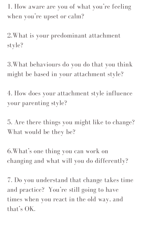1. How aware are you of what you're feeling when you're upset or calm?

2.What is your predominant attachment style?

3.What behaviours do you do that you think might be based in your attachment style?

4. How does your attachment style influence your parenting style?

## 5. Are there things you might like to change? What would be they be?

6.What' s one thing you can work on changing and what will you do differently?

7. Do you understand that change takes time and practice? You're still going to have times when you react in the old way, and that' s OK.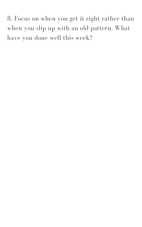8. Focus on when you get it right rather than when you slip up with an old pattern. What have you done well this week?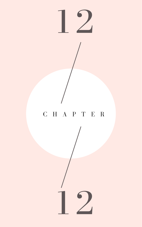## C H A P T E R

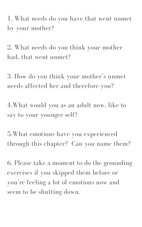1. What needs do you have that went unmet by your mother?

2. What needs do you think your mother had, that went unmet?

3. How do you think your mother ' s unmet needs affected her and therefore you?

4.What would you as an adult now, like to say to your younger self?

5.What emotions have you experienced through this chapter? Can you name them?

6. Please take a moment to do the grounding exercises if you skipped them before or you're feeling a lot of emotions now and seem to be shutting down.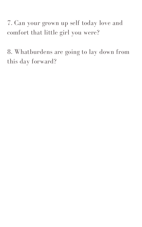7. Can your grown up self today love and comfort that little girl you were?

8. Whatburdens are going to lay down from this day forward?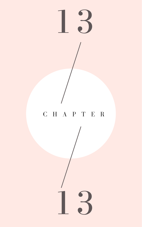C H A P T E R

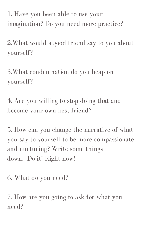1. Have you been able to use your imagination? Do you need more practice?

2.What would a good friend say to you about yourself?

3.What condemnation do you heap on yourself?

4. Are you willing to stop doing that and become your own best friend?

5. How can you change the narrative of what you say to yourself to be more compassionate and nurturing? Write some things down. Do it! Right now!

6. What do you need?

7. How are you going to ask for what you need?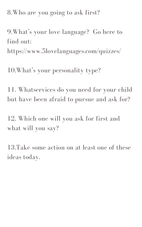8.Who are you going to ask first?

9.What' s your love language? Go here to find out: https://www.5lovelanguages.com/quizzes/

10.What' s your personality type?

11. Whatservices do you need for your child but have been afraid to pursue and ask for?

12. Which one will you ask for first and

## what will you say?

# 13.Take some action on at least one of these ideas today.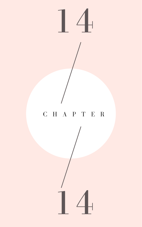C H A P T E R

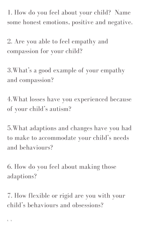1. How do you feel about your child? Name some honest emotions, positive and negative.

2. Are you able to feel empathy and compassion for your child?

3.What' s a good example of your empathy and compassion?

4.What losses have you experienced because of your child' s autism?

5.What adaptions and changes have you had to make to accommodate your child's needs and behaviours?

6. How do you feel about making those adaptions?

7. How flexible or rigid are you with your child' s behaviours and obsessions?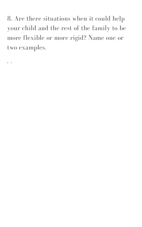8. Are there situations when it could help your child and the rest of the family to be more flexible or more rigid? Name one or two examples.

8. b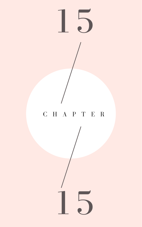C H A P T E R

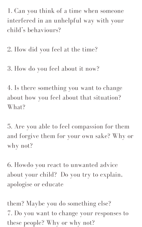1. Can you think of a time when someone interfered in an unhelpful way with your child' s behaviours?

4. Is there something you want to change about how you feel about that situation? What?

2. How did you feel at the time?

3. How do you feel about it now?

5. Are you able to feel compassion for them and forgive them for your own sake? Why or why not?

6. Howdo you react to unwanted advice about your child? Do you try to explain, apologise or educate

them? Maybe you do something else? 7. Do you want to change your responses to these people? Why or why not?